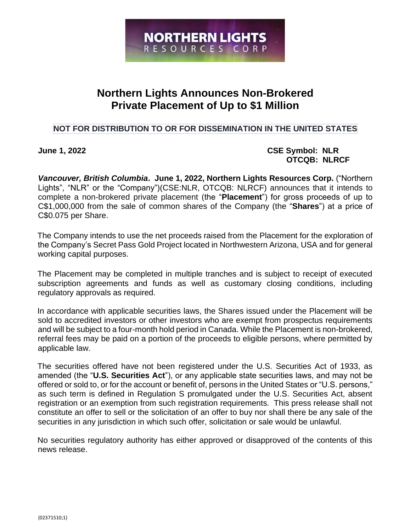# **NORTHERN LIGHTS** RESOURCES CORP

## **Northern Lights Announces Non-Brokered Private Placement of Up to \$1 Million**

### **NOT FOR DISTRIBUTION TO OR FOR DISSEMINATION IN THE UNITED STATES**

**June 1, 2022 CSE Symbol: NLR OTCQB: NLRCF**

*Vancouver, British Columbia***. June 1, 2022, Northern Lights Resources Corp.** ("Northern Lights", "NLR" or the "Company")(CSE:NLR, OTCQB: NLRCF) announces that it intends to complete a non-brokered private placement (the "**Placement**") for gross proceeds of up to C\$1,000,000 from the sale of common shares of the Company (the "**Shares**") at a price of C\$0.075 per Share.

The Company intends to use the net proceeds raised from the Placement for the exploration of the Company's Secret Pass Gold Project located in Northwestern Arizona, USA and for general working capital purposes.

The Placement may be completed in multiple tranches and is subject to receipt of executed subscription agreements and funds as well as customary closing conditions, including regulatory approvals as required.

In accordance with applicable securities laws, the Shares issued under the Placement will be sold to accredited investors or other investors who are exempt from prospectus requirements and will be subject to a four-month hold period in Canada. While the Placement is non-brokered, referral fees may be paid on a portion of the proceeds to eligible persons, where permitted by applicable law.

The securities offered have not been registered under the U.S. Securities Act of 1933, as amended (the "**U.S. Securities Act**"), or any applicable state securities laws, and may not be offered or sold to, or for the account or benefit of, persons in the United States or "U.S. persons," as such term is defined in Regulation S promulgated under the U.S. Securities Act, absent registration or an exemption from such registration requirements. This press release shall not constitute an offer to sell or the solicitation of an offer to buy nor shall there be any sale of the securities in any jurisdiction in which such offer, solicitation or sale would be unlawful.

No securities regulatory authority has either approved or disapproved of the contents of this news release.